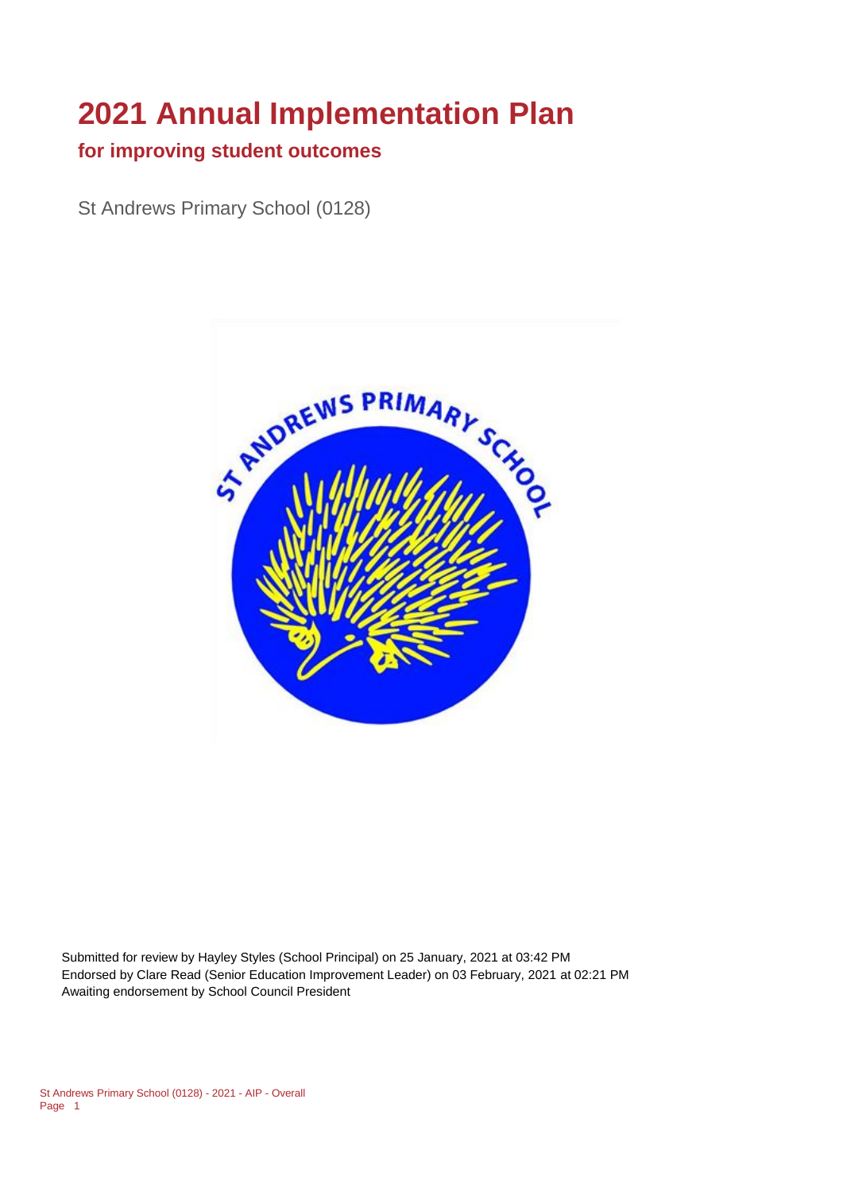# **2021 Annual Implementation Plan**

#### **for improving student outcomes**

St Andrews Primary School (0128)



Submitted for review by Hayley Styles (School Principal) on 25 January, 2021 at 03:42 PM Endorsed by Clare Read (Senior Education Improvement Leader) on 03 February, 2021 at 02:21 PM Awaiting endorsement by School Council President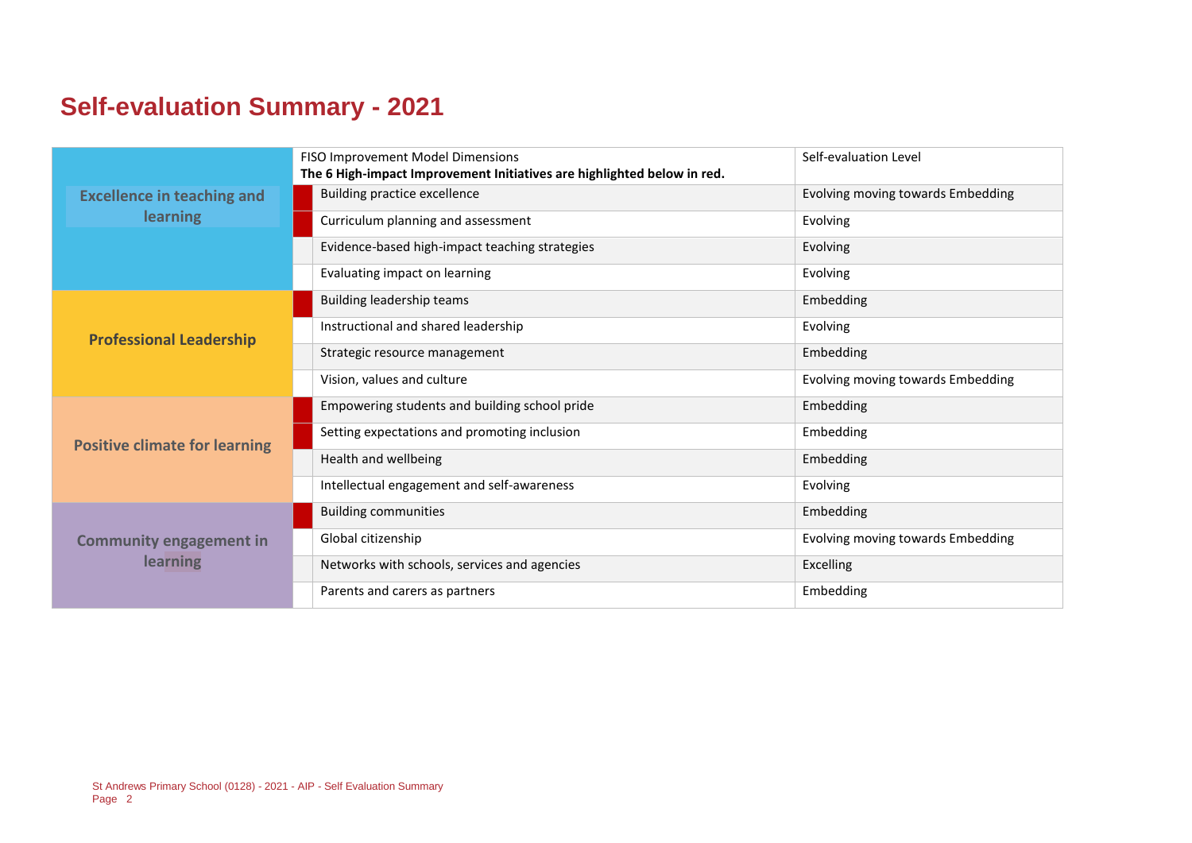## **Self-evaluation Summary - 2021**

|                                      | FISO Improvement Model Dimensions<br>The 6 High-impact Improvement Initiatives are highlighted below in red. | Self-evaluation Level             |
|--------------------------------------|--------------------------------------------------------------------------------------------------------------|-----------------------------------|
| <b>Excellence in teaching and</b>    | <b>Building practice excellence</b>                                                                          | Evolving moving towards Embedding |
| <b>learning</b>                      | Curriculum planning and assessment                                                                           | Evolving                          |
|                                      | Evidence-based high-impact teaching strategies                                                               | Evolving                          |
|                                      | Evaluating impact on learning                                                                                | Evolving                          |
|                                      | Building leadership teams                                                                                    | Embedding                         |
| <b>Professional Leadership</b>       | Instructional and shared leadership                                                                          | Evolving                          |
|                                      | Strategic resource management                                                                                | Embedding                         |
|                                      | Vision, values and culture                                                                                   | Evolving moving towards Embedding |
|                                      | Empowering students and building school pride                                                                | Embedding                         |
| <b>Positive climate for learning</b> | Setting expectations and promoting inclusion                                                                 | Embedding                         |
|                                      | Health and wellbeing                                                                                         | Embedding                         |
|                                      | Intellectual engagement and self-awareness                                                                   | Evolving                          |
|                                      | <b>Building communities</b>                                                                                  | Embedding                         |
| <b>Community engagement in</b>       | Global citizenship                                                                                           | Evolving moving towards Embedding |
| learning                             | Networks with schools, services and agencies                                                                 | Excelling                         |
|                                      | Parents and carers as partners                                                                               | Embedding                         |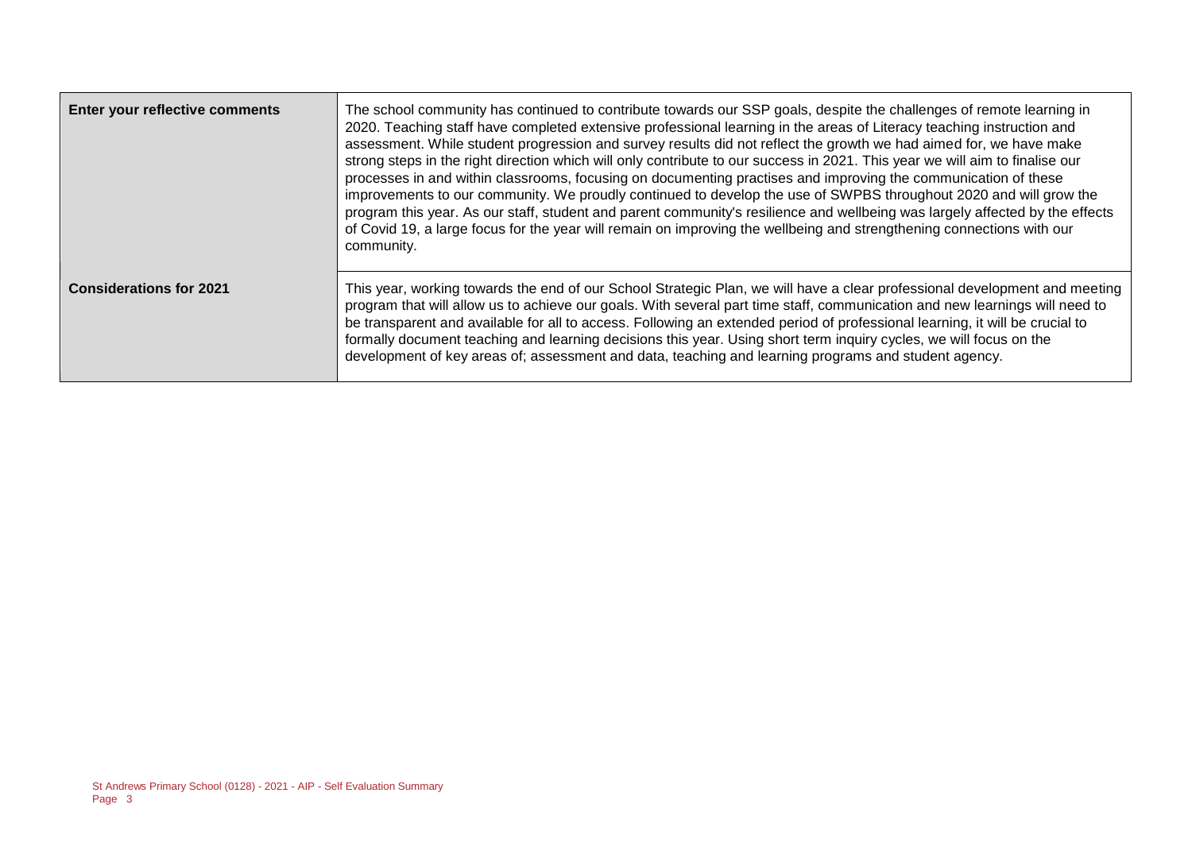| Enter your reflective comments | The school community has continued to contribute towards our SSP goals, despite the challenges of remote learning in<br>2020. Teaching staff have completed extensive professional learning in the areas of Literacy teaching instruction and<br>assessment. While student progression and survey results did not reflect the growth we had aimed for, we have make<br>strong steps in the right direction which will only contribute to our success in 2021. This year we will aim to finalise our<br>processes in and within classrooms, focusing on documenting practises and improving the communication of these<br>improvements to our community. We proudly continued to develop the use of SWPBS throughout 2020 and will grow the<br>program this year. As our staff, student and parent community's resilience and wellbeing was largely affected by the effects<br>of Covid 19, a large focus for the year will remain on improving the wellbeing and strengthening connections with our<br>community. |
|--------------------------------|-------------------------------------------------------------------------------------------------------------------------------------------------------------------------------------------------------------------------------------------------------------------------------------------------------------------------------------------------------------------------------------------------------------------------------------------------------------------------------------------------------------------------------------------------------------------------------------------------------------------------------------------------------------------------------------------------------------------------------------------------------------------------------------------------------------------------------------------------------------------------------------------------------------------------------------------------------------------------------------------------------------------|
| <b>Considerations for 2021</b> | This year, working towards the end of our School Strategic Plan, we will have a clear professional development and meeting<br>program that will allow us to achieve our goals. With several part time staff, communication and new learnings will need to<br>be transparent and available for all to access. Following an extended period of professional learning, it will be crucial to<br>formally document teaching and learning decisions this year. Using short term inquiry cycles, we will focus on the<br>development of key areas of; assessment and data, teaching and learning programs and student agency.                                                                                                                                                                                                                                                                                                                                                                                           |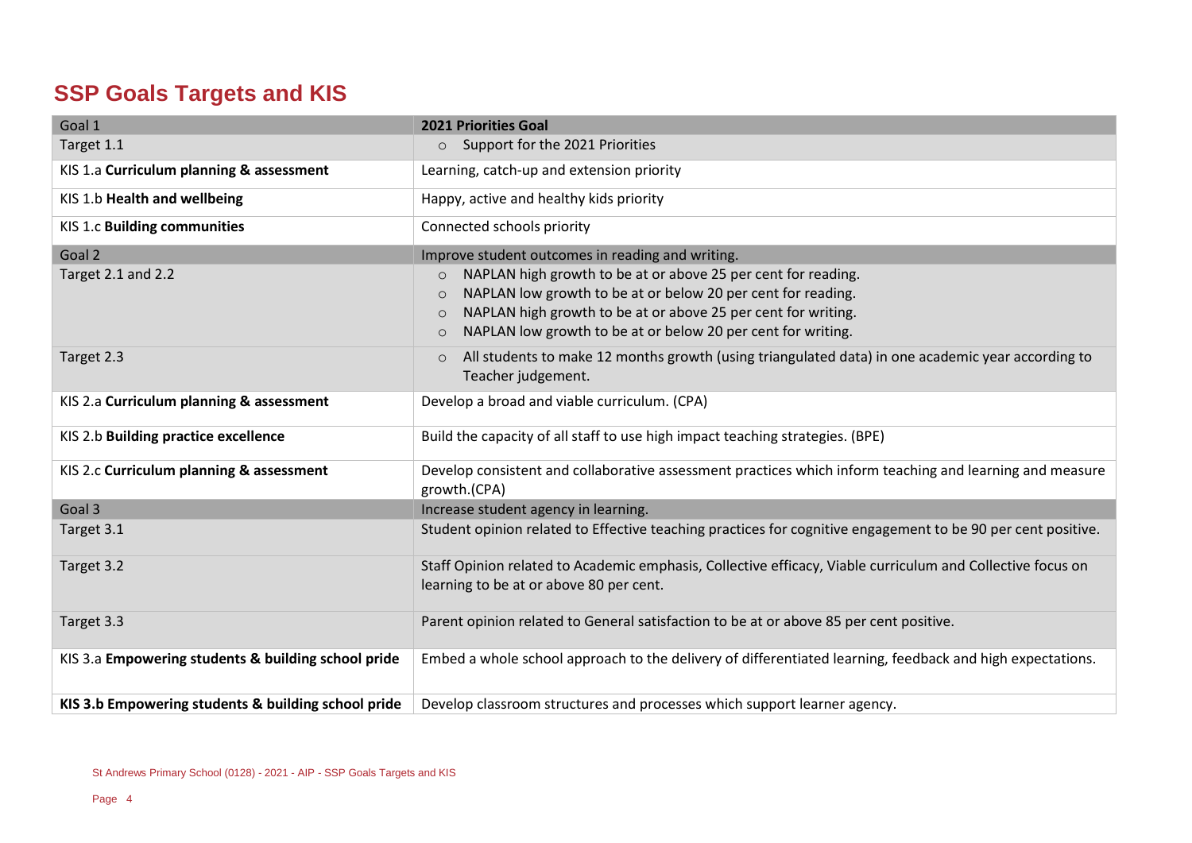### **SSP Goals Targets and KIS**

| Goal 1                                              | <b>2021 Priorities Goal</b>                                                                                              |
|-----------------------------------------------------|--------------------------------------------------------------------------------------------------------------------------|
| Target 1.1                                          | Support for the 2021 Priorities<br>$\circ$                                                                               |
| KIS 1.a Curriculum planning & assessment            | Learning, catch-up and extension priority                                                                                |
| KIS 1.b Health and wellbeing                        | Happy, active and healthy kids priority                                                                                  |
| KIS 1.c Building communities                        | Connected schools priority                                                                                               |
| Goal 2                                              | Improve student outcomes in reading and writing.                                                                         |
| Target 2.1 and 2.2                                  | NAPLAN high growth to be at or above 25 per cent for reading.<br>$\circ$                                                 |
|                                                     | NAPLAN low growth to be at or below 20 per cent for reading.<br>$\circ$                                                  |
|                                                     | NAPLAN high growth to be at or above 25 per cent for writing.<br>$\circ$                                                 |
|                                                     | NAPLAN low growth to be at or below 20 per cent for writing.<br>$\circ$                                                  |
| Target 2.3                                          | All students to make 12 months growth (using triangulated data) in one academic year according to<br>$\circ$             |
|                                                     | Teacher judgement.                                                                                                       |
| KIS 2.a Curriculum planning & assessment            | Develop a broad and viable curriculum. (CPA)                                                                             |
| KIS 2.b Building practice excellence                | Build the capacity of all staff to use high impact teaching strategies. (BPE)                                            |
| KIS 2.c Curriculum planning & assessment            | Develop consistent and collaborative assessment practices which inform teaching and learning and measure<br>growth.(CPA) |
| Goal 3                                              | Increase student agency in learning.                                                                                     |
| Target 3.1                                          | Student opinion related to Effective teaching practices for cognitive engagement to be 90 per cent positive.             |
| Target 3.2                                          | Staff Opinion related to Academic emphasis, Collective efficacy, Viable curriculum and Collective focus on               |
|                                                     | learning to be at or above 80 per cent.                                                                                  |
| Target 3.3                                          | Parent opinion related to General satisfaction to be at or above 85 per cent positive.                                   |
| KIS 3.a Empowering students & building school pride | Embed a whole school approach to the delivery of differentiated learning, feedback and high expectations.                |
| KIS 3.b Empowering students & building school pride | Develop classroom structures and processes which support learner agency.                                                 |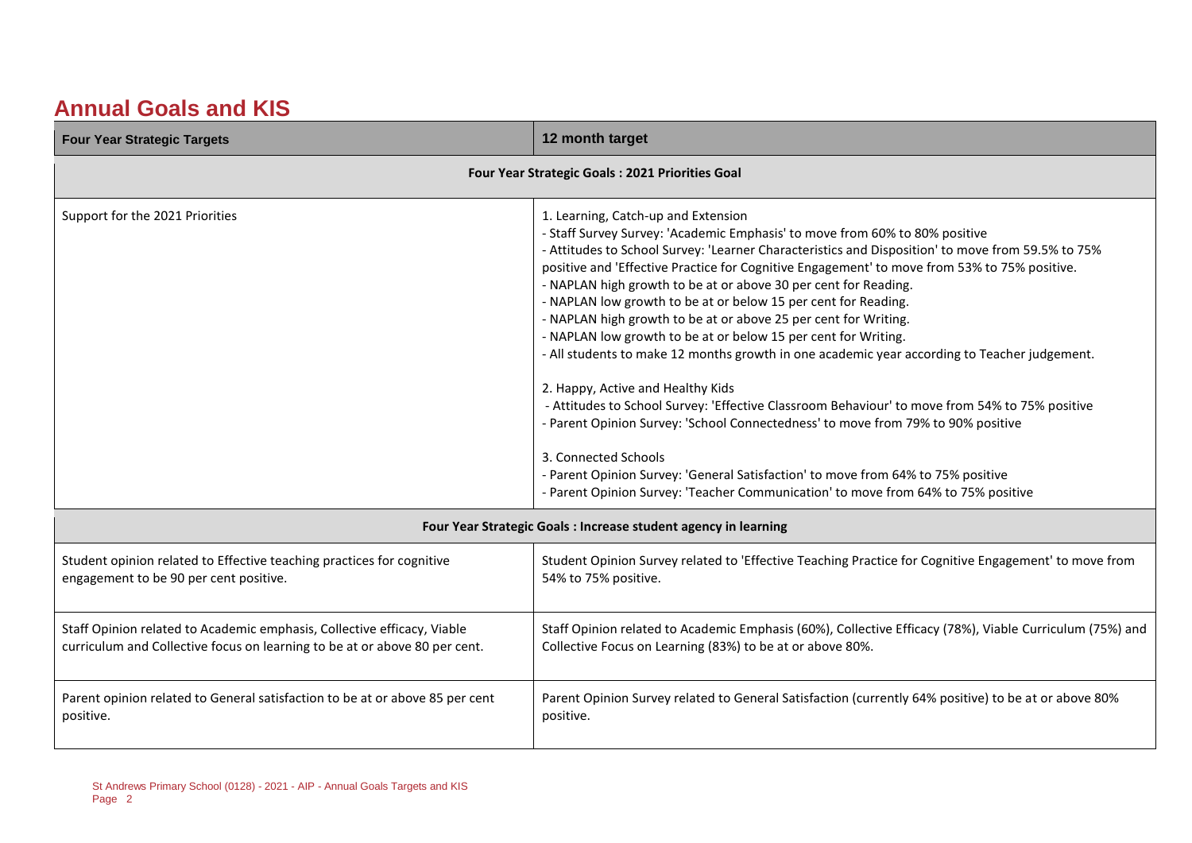#### **Annual Goals and KIS**

| <b>Four Year Strategic Targets</b>                                                                                                                    | 12 month target                                                                                                                                                                                                                                                                                                                                                                                                                                                                                                                                                                                                                                                                                                                                                                                                                                                                                                                                                                                                                                                                                                               |  |  |  |
|-------------------------------------------------------------------------------------------------------------------------------------------------------|-------------------------------------------------------------------------------------------------------------------------------------------------------------------------------------------------------------------------------------------------------------------------------------------------------------------------------------------------------------------------------------------------------------------------------------------------------------------------------------------------------------------------------------------------------------------------------------------------------------------------------------------------------------------------------------------------------------------------------------------------------------------------------------------------------------------------------------------------------------------------------------------------------------------------------------------------------------------------------------------------------------------------------------------------------------------------------------------------------------------------------|--|--|--|
| Four Year Strategic Goals : 2021 Priorities Goal                                                                                                      |                                                                                                                                                                                                                                                                                                                                                                                                                                                                                                                                                                                                                                                                                                                                                                                                                                                                                                                                                                                                                                                                                                                               |  |  |  |
| Support for the 2021 Priorities                                                                                                                       | 1. Learning, Catch-up and Extension<br>- Staff Survey Survey: 'Academic Emphasis' to move from 60% to 80% positive<br>- Attitudes to School Survey: 'Learner Characteristics and Disposition' to move from 59.5% to 75%<br>positive and 'Effective Practice for Cognitive Engagement' to move from 53% to 75% positive.<br>- NAPLAN high growth to be at or above 30 per cent for Reading.<br>- NAPLAN low growth to be at or below 15 per cent for Reading.<br>- NAPLAN high growth to be at or above 25 per cent for Writing.<br>- NAPLAN low growth to be at or below 15 per cent for Writing.<br>- All students to make 12 months growth in one academic year according to Teacher judgement.<br>2. Happy, Active and Healthy Kids<br>- Attitudes to School Survey: 'Effective Classroom Behaviour' to move from 54% to 75% positive<br>- Parent Opinion Survey: 'School Connectedness' to move from 79% to 90% positive<br>3. Connected Schools<br>- Parent Opinion Survey: 'General Satisfaction' to move from 64% to 75% positive<br>- Parent Opinion Survey: 'Teacher Communication' to move from 64% to 75% positive |  |  |  |
|                                                                                                                                                       | Four Year Strategic Goals : Increase student agency in learning                                                                                                                                                                                                                                                                                                                                                                                                                                                                                                                                                                                                                                                                                                                                                                                                                                                                                                                                                                                                                                                               |  |  |  |
| Student opinion related to Effective teaching practices for cognitive<br>engagement to be 90 per cent positive.                                       | Student Opinion Survey related to 'Effective Teaching Practice for Cognitive Engagement' to move from<br>54% to 75% positive.                                                                                                                                                                                                                                                                                                                                                                                                                                                                                                                                                                                                                                                                                                                                                                                                                                                                                                                                                                                                 |  |  |  |
| Staff Opinion related to Academic emphasis, Collective efficacy, Viable<br>curriculum and Collective focus on learning to be at or above 80 per cent. | Staff Opinion related to Academic Emphasis (60%), Collective Efficacy (78%), Viable Curriculum (75%) and<br>Collective Focus on Learning (83%) to be at or above 80%.                                                                                                                                                                                                                                                                                                                                                                                                                                                                                                                                                                                                                                                                                                                                                                                                                                                                                                                                                         |  |  |  |
| Parent opinion related to General satisfaction to be at or above 85 per cent<br>positive.                                                             | Parent Opinion Survey related to General Satisfaction (currently 64% positive) to be at or above 80%<br>positive.                                                                                                                                                                                                                                                                                                                                                                                                                                                                                                                                                                                                                                                                                                                                                                                                                                                                                                                                                                                                             |  |  |  |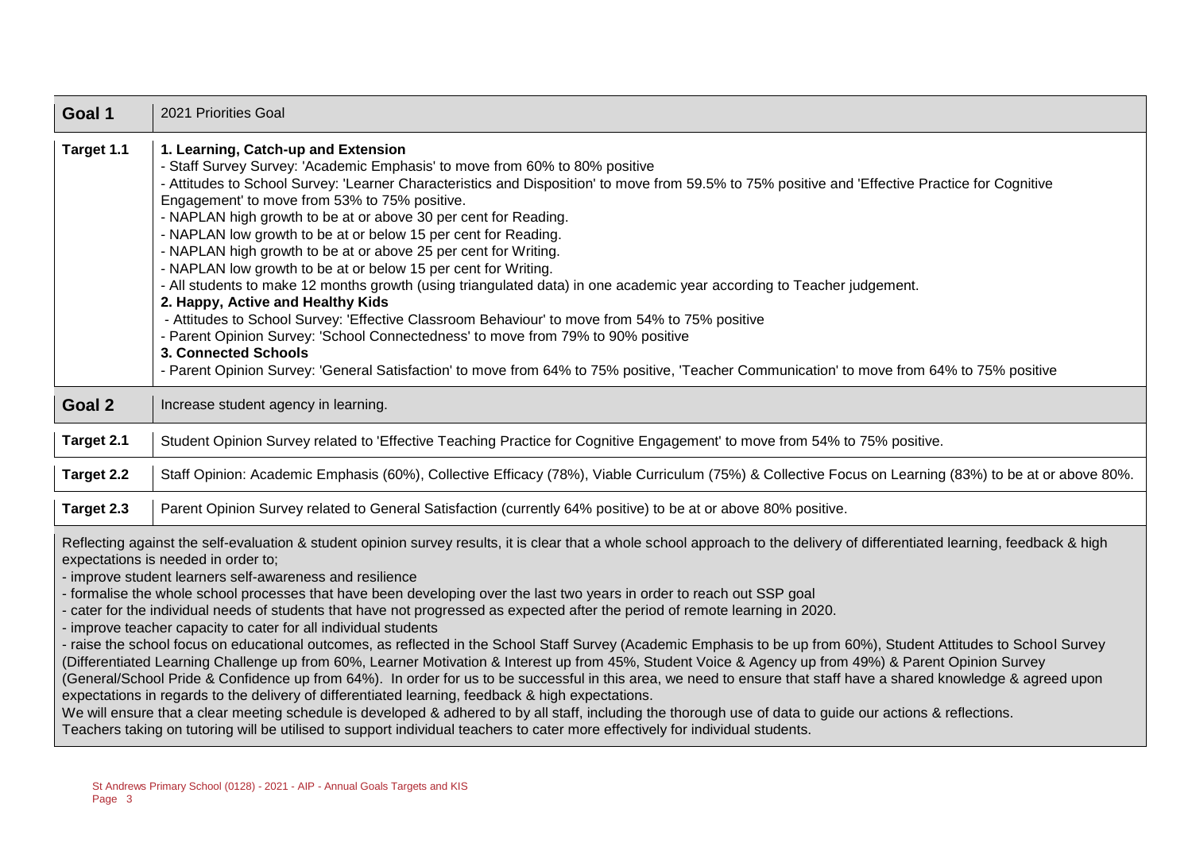| Goal 1                                                                                                                                                                                                                                                                                                                                                                                                                                                                                                                                                                                                                                                                                                                                                                                                                                                                                                                                                                                                                                                                                                                                                                                                                                                                                                                                                                                                                                                                                                                      | 2021 Priorities Goal                                                                                                                                                                                                                                                                                                                                                                                                                                                                                                                                                                                                                                                                                                                                                                                                                                                                                                                                                                                                                                                                                                         |
|-----------------------------------------------------------------------------------------------------------------------------------------------------------------------------------------------------------------------------------------------------------------------------------------------------------------------------------------------------------------------------------------------------------------------------------------------------------------------------------------------------------------------------------------------------------------------------------------------------------------------------------------------------------------------------------------------------------------------------------------------------------------------------------------------------------------------------------------------------------------------------------------------------------------------------------------------------------------------------------------------------------------------------------------------------------------------------------------------------------------------------------------------------------------------------------------------------------------------------------------------------------------------------------------------------------------------------------------------------------------------------------------------------------------------------------------------------------------------------------------------------------------------------|------------------------------------------------------------------------------------------------------------------------------------------------------------------------------------------------------------------------------------------------------------------------------------------------------------------------------------------------------------------------------------------------------------------------------------------------------------------------------------------------------------------------------------------------------------------------------------------------------------------------------------------------------------------------------------------------------------------------------------------------------------------------------------------------------------------------------------------------------------------------------------------------------------------------------------------------------------------------------------------------------------------------------------------------------------------------------------------------------------------------------|
| Target 1.1                                                                                                                                                                                                                                                                                                                                                                                                                                                                                                                                                                                                                                                                                                                                                                                                                                                                                                                                                                                                                                                                                                                                                                                                                                                                                                                                                                                                                                                                                                                  | 1. Learning, Catch-up and Extension<br>- Staff Survey Survey: 'Academic Emphasis' to move from 60% to 80% positive<br>- Attitudes to School Survey: 'Learner Characteristics and Disposition' to move from 59.5% to 75% positive and 'Effective Practice for Cognitive<br>Engagement' to move from 53% to 75% positive.<br>- NAPLAN high growth to be at or above 30 per cent for Reading.<br>- NAPLAN low growth to be at or below 15 per cent for Reading.<br>- NAPLAN high growth to be at or above 25 per cent for Writing.<br>- NAPLAN low growth to be at or below 15 per cent for Writing.<br>- All students to make 12 months growth (using triangulated data) in one academic year according to Teacher judgement.<br>2. Happy, Active and Healthy Kids<br>- Attitudes to School Survey: 'Effective Classroom Behaviour' to move from 54% to 75% positive<br>- Parent Opinion Survey: 'School Connectedness' to move from 79% to 90% positive<br>3. Connected Schools<br>- Parent Opinion Survey: 'General Satisfaction' to move from 64% to 75% positive, 'Teacher Communication' to move from 64% to 75% positive |
| Goal 2                                                                                                                                                                                                                                                                                                                                                                                                                                                                                                                                                                                                                                                                                                                                                                                                                                                                                                                                                                                                                                                                                                                                                                                                                                                                                                                                                                                                                                                                                                                      | Increase student agency in learning.                                                                                                                                                                                                                                                                                                                                                                                                                                                                                                                                                                                                                                                                                                                                                                                                                                                                                                                                                                                                                                                                                         |
| Target 2.1                                                                                                                                                                                                                                                                                                                                                                                                                                                                                                                                                                                                                                                                                                                                                                                                                                                                                                                                                                                                                                                                                                                                                                                                                                                                                                                                                                                                                                                                                                                  | Student Opinion Survey related to 'Effective Teaching Practice for Cognitive Engagement' to move from 54% to 75% positive.                                                                                                                                                                                                                                                                                                                                                                                                                                                                                                                                                                                                                                                                                                                                                                                                                                                                                                                                                                                                   |
| Target 2.2                                                                                                                                                                                                                                                                                                                                                                                                                                                                                                                                                                                                                                                                                                                                                                                                                                                                                                                                                                                                                                                                                                                                                                                                                                                                                                                                                                                                                                                                                                                  | Staff Opinion: Academic Emphasis (60%), Collective Efficacy (78%), Viable Curriculum (75%) & Collective Focus on Learning (83%) to be at or above 80%.                                                                                                                                                                                                                                                                                                                                                                                                                                                                                                                                                                                                                                                                                                                                                                                                                                                                                                                                                                       |
| Target 2.3                                                                                                                                                                                                                                                                                                                                                                                                                                                                                                                                                                                                                                                                                                                                                                                                                                                                                                                                                                                                                                                                                                                                                                                                                                                                                                                                                                                                                                                                                                                  | Parent Opinion Survey related to General Satisfaction (currently 64% positive) to be at or above 80% positive.                                                                                                                                                                                                                                                                                                                                                                                                                                                                                                                                                                                                                                                                                                                                                                                                                                                                                                                                                                                                               |
| Reflecting against the self-evaluation & student opinion survey results, it is clear that a whole school approach to the delivery of differentiated learning, feedback & high<br>expectations is needed in order to;<br>- improve student learners self-awareness and resilience<br>- formalise the whole school processes that have been developing over the last two years in order to reach out SSP goal<br>cater for the individual needs of students that have not progressed as expected after the period of remote learning in 2020.<br>- improve teacher capacity to cater for all individual students<br>- raise the school focus on educational outcomes, as reflected in the School Staff Survey (Academic Emphasis to be up from 60%), Student Attitudes to School Survey<br>(Differentiated Learning Challenge up from 60%, Learner Motivation & Interest up from 45%, Student Voice & Agency up from 49%) & Parent Opinion Survey<br>(General/School Pride & Confidence up from 64%). In order for us to be successful in this area, we need to ensure that staff have a shared knowledge & agreed upon<br>expectations in regards to the delivery of differentiated learning, feedback & high expectations.<br>We will ensure that a clear meeting schedule is developed & adhered to by all staff, including the thorough use of data to guide our actions & reflections.<br>Teachers taking on tutoring will be utilised to support individual teachers to cater more effectively for individual students. |                                                                                                                                                                                                                                                                                                                                                                                                                                                                                                                                                                                                                                                                                                                                                                                                                                                                                                                                                                                                                                                                                                                              |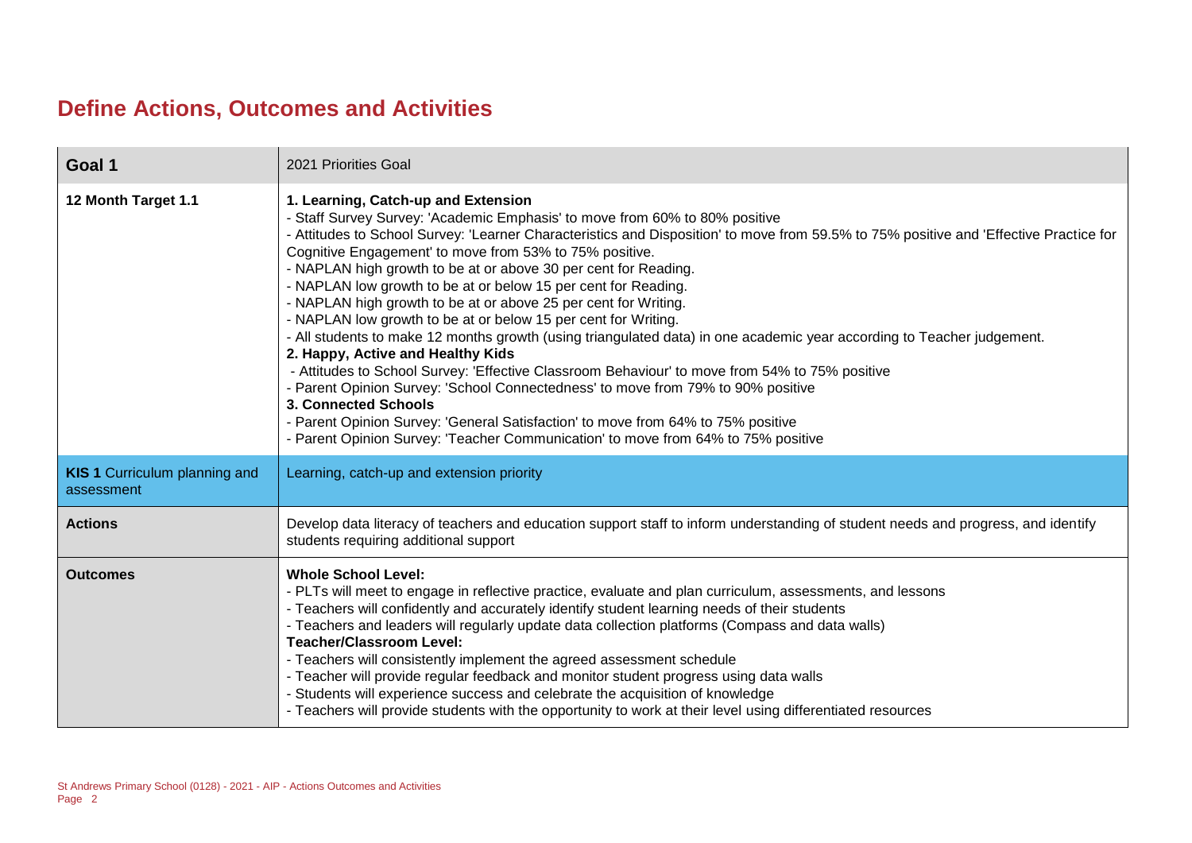#### **Define Actions, Outcomes and Activities**

| Goal 1                                             | 2021 Priorities Goal                                                                                                                                                                                                                                                                                                                                                                                                                                                                                                                                                                                                                                                                                                                                                                                                                                                                                                                                                                                                                                                                                                                                    |
|----------------------------------------------------|---------------------------------------------------------------------------------------------------------------------------------------------------------------------------------------------------------------------------------------------------------------------------------------------------------------------------------------------------------------------------------------------------------------------------------------------------------------------------------------------------------------------------------------------------------------------------------------------------------------------------------------------------------------------------------------------------------------------------------------------------------------------------------------------------------------------------------------------------------------------------------------------------------------------------------------------------------------------------------------------------------------------------------------------------------------------------------------------------------------------------------------------------------|
| 12 Month Target 1.1                                | 1. Learning, Catch-up and Extension<br>- Staff Survey Survey: 'Academic Emphasis' to move from 60% to 80% positive<br>- Attitudes to School Survey: 'Learner Characteristics and Disposition' to move from 59.5% to 75% positive and 'Effective Practice for<br>Cognitive Engagement' to move from 53% to 75% positive.<br>- NAPLAN high growth to be at or above 30 per cent for Reading.<br>- NAPLAN low growth to be at or below 15 per cent for Reading.<br>- NAPLAN high growth to be at or above 25 per cent for Writing.<br>- NAPLAN low growth to be at or below 15 per cent for Writing.<br>- All students to make 12 months growth (using triangulated data) in one academic year according to Teacher judgement.<br>2. Happy, Active and Healthy Kids<br>- Attitudes to School Survey: 'Effective Classroom Behaviour' to move from 54% to 75% positive<br>- Parent Opinion Survey: 'School Connectedness' to move from 79% to 90% positive<br>3. Connected Schools<br>- Parent Opinion Survey: 'General Satisfaction' to move from 64% to 75% positive<br>- Parent Opinion Survey: 'Teacher Communication' to move from 64% to 75% positive |
| <b>KIS 1 Curriculum planning and</b><br>assessment | Learning, catch-up and extension priority                                                                                                                                                                                                                                                                                                                                                                                                                                                                                                                                                                                                                                                                                                                                                                                                                                                                                                                                                                                                                                                                                                               |
| <b>Actions</b>                                     | Develop data literacy of teachers and education support staff to inform understanding of student needs and progress, and identify<br>students requiring additional support                                                                                                                                                                                                                                                                                                                                                                                                                                                                                                                                                                                                                                                                                                                                                                                                                                                                                                                                                                              |
| <b>Outcomes</b>                                    | <b>Whole School Level:</b><br>- PLTs will meet to engage in reflective practice, evaluate and plan curriculum, assessments, and lessons<br>- Teachers will confidently and accurately identify student learning needs of their students<br>- Teachers and leaders will regularly update data collection platforms (Compass and data walls)<br><b>Teacher/Classroom Level:</b><br>- Teachers will consistently implement the agreed assessment schedule<br>- Teacher will provide regular feedback and monitor student progress using data walls<br>- Students will experience success and celebrate the acquisition of knowledge<br>- Teachers will provide students with the opportunity to work at their level using differentiated resources                                                                                                                                                                                                                                                                                                                                                                                                         |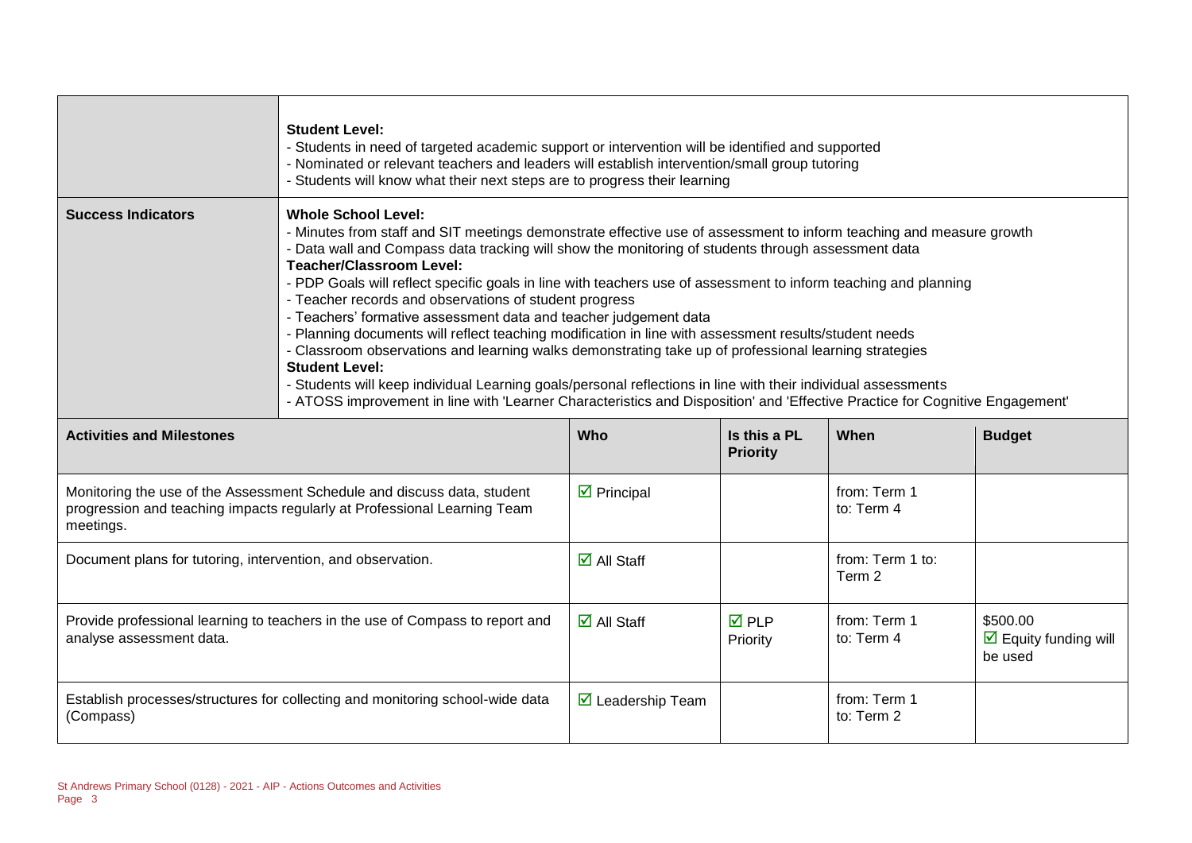|                                                             | <b>Student Level:</b><br>- Students in need of targeted academic support or intervention will be identified and supported<br>- Nominated or relevant teachers and leaders will establish intervention/small group tutoring<br>- Students will know what their next steps are to progress their learning                                                                                                                                                                                                                                                                                                                                                                                                                                                                                                                                                                                                                                                                                                                                 |                                     |                                 |                            |                                                             |
|-------------------------------------------------------------|-----------------------------------------------------------------------------------------------------------------------------------------------------------------------------------------------------------------------------------------------------------------------------------------------------------------------------------------------------------------------------------------------------------------------------------------------------------------------------------------------------------------------------------------------------------------------------------------------------------------------------------------------------------------------------------------------------------------------------------------------------------------------------------------------------------------------------------------------------------------------------------------------------------------------------------------------------------------------------------------------------------------------------------------|-------------------------------------|---------------------------------|----------------------------|-------------------------------------------------------------|
| <b>Success Indicators</b>                                   | <b>Whole School Level:</b><br>- Minutes from staff and SIT meetings demonstrate effective use of assessment to inform teaching and measure growth<br>- Data wall and Compass data tracking will show the monitoring of students through assessment data<br><b>Teacher/Classroom Level:</b><br>- PDP Goals will reflect specific goals in line with teachers use of assessment to inform teaching and planning<br>- Teacher records and observations of student progress<br>- Teachers' formative assessment data and teacher judgement data<br>- Planning documents will reflect teaching modification in line with assessment results/student needs<br>- Classroom observations and learning walks demonstrating take up of professional learning strategies<br><b>Student Level:</b><br>- Students will keep individual Learning goals/personal reflections in line with their individual assessments<br>- ATOSS improvement in line with 'Learner Characteristics and Disposition' and 'Effective Practice for Cognitive Engagement' |                                     |                                 |                            |                                                             |
| <b>Activities and Milestones</b>                            |                                                                                                                                                                                                                                                                                                                                                                                                                                                                                                                                                                                                                                                                                                                                                                                                                                                                                                                                                                                                                                         | Who                                 | Is this a PL<br><b>Priority</b> | When                       | <b>Budget</b>                                               |
| meetings.                                                   | Monitoring the use of the Assessment Schedule and discuss data, student<br>progression and teaching impacts regularly at Professional Learning Team                                                                                                                                                                                                                                                                                                                                                                                                                                                                                                                                                                                                                                                                                                                                                                                                                                                                                     | $\triangleright$ Principal          |                                 | from: Term 1<br>to: Term 4 |                                                             |
| Document plans for tutoring, intervention, and observation. |                                                                                                                                                                                                                                                                                                                                                                                                                                                                                                                                                                                                                                                                                                                                                                                                                                                                                                                                                                                                                                         | $\overline{\blacksquare}$ All Staff |                                 | from: Term 1 to:<br>Term 2 |                                                             |
| analyse assessment data.                                    | Provide professional learning to teachers in the use of Compass to report and                                                                                                                                                                                                                                                                                                                                                                                                                                                                                                                                                                                                                                                                                                                                                                                                                                                                                                                                                           | $\overline{\mathbf{M}}$ All Staff   | <b>☑</b> PLP<br>Priority        | from: Term 1<br>to: Term 4 | \$500.00<br>$\triangleright$ Equity funding will<br>be used |
| (Compass)                                                   | Establish processes/structures for collecting and monitoring school-wide data                                                                                                                                                                                                                                                                                                                                                                                                                                                                                                                                                                                                                                                                                                                                                                                                                                                                                                                                                           | $\triangleright$ Leadership Team    |                                 | from: Term 1<br>to: Term 2 |                                                             |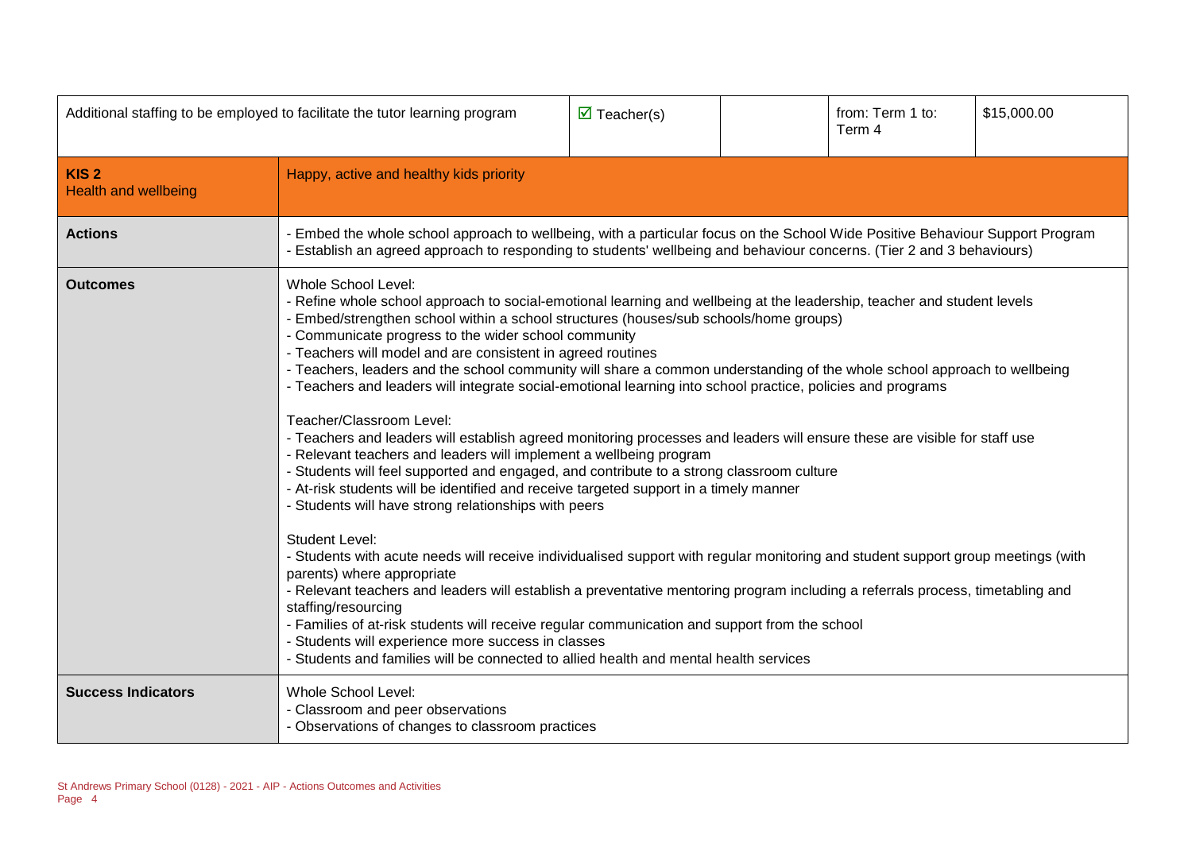| Additional staffing to be employed to facilitate the tutor learning program |                                                                                                                                                                                                                                                                                                                                                                                                                                                                                                                                                                                                                                                                                                                                                                                                                                                                                                                                                                                                                                                                                                                                                                                                                                                                                                                                                                                                                                                                                                                                                                                                                                                                                                  | $\overline{\mathbf{M}}$ Teacher(s) |  | from: Term 1 to:<br>Term 4 | \$15,000.00 |
|-----------------------------------------------------------------------------|--------------------------------------------------------------------------------------------------------------------------------------------------------------------------------------------------------------------------------------------------------------------------------------------------------------------------------------------------------------------------------------------------------------------------------------------------------------------------------------------------------------------------------------------------------------------------------------------------------------------------------------------------------------------------------------------------------------------------------------------------------------------------------------------------------------------------------------------------------------------------------------------------------------------------------------------------------------------------------------------------------------------------------------------------------------------------------------------------------------------------------------------------------------------------------------------------------------------------------------------------------------------------------------------------------------------------------------------------------------------------------------------------------------------------------------------------------------------------------------------------------------------------------------------------------------------------------------------------------------------------------------------------------------------------------------------------|------------------------------------|--|----------------------------|-------------|
| KIS <sub>2</sub><br><b>Health and wellbeing</b>                             | Happy, active and healthy kids priority                                                                                                                                                                                                                                                                                                                                                                                                                                                                                                                                                                                                                                                                                                                                                                                                                                                                                                                                                                                                                                                                                                                                                                                                                                                                                                                                                                                                                                                                                                                                                                                                                                                          |                                    |  |                            |             |
| <b>Actions</b>                                                              | Embed the whole school approach to wellbeing, with a particular focus on the School Wide Positive Behaviour Support Program<br>Establish an agreed approach to responding to students' wellbeing and behaviour concerns. (Tier 2 and 3 behaviours)                                                                                                                                                                                                                                                                                                                                                                                                                                                                                                                                                                                                                                                                                                                                                                                                                                                                                                                                                                                                                                                                                                                                                                                                                                                                                                                                                                                                                                               |                                    |  |                            |             |
| <b>Outcomes</b>                                                             | <b>Whole School Level:</b><br>- Refine whole school approach to social-emotional learning and wellbeing at the leadership, teacher and student levels<br>- Embed/strengthen school within a school structures (houses/sub schools/home groups)<br>- Communicate progress to the wider school community<br>- Teachers will model and are consistent in agreed routines<br>- Teachers, leaders and the school community will share a common understanding of the whole school approach to wellbeing<br>- Teachers and leaders will integrate social-emotional learning into school practice, policies and programs<br>Teacher/Classroom Level:<br>- Teachers and leaders will establish agreed monitoring processes and leaders will ensure these are visible for staff use<br>- Relevant teachers and leaders will implement a wellbeing program<br>- Students will feel supported and engaged, and contribute to a strong classroom culture<br>- At-risk students will be identified and receive targeted support in a timely manner<br>- Students will have strong relationships with peers<br><b>Student Level:</b><br>- Students with acute needs will receive individualised support with regular monitoring and student support group meetings (with<br>parents) where appropriate<br>- Relevant teachers and leaders will establish a preventative mentoring program including a referrals process, timetabling and<br>staffing/resourcing<br>- Families of at-risk students will receive regular communication and support from the school<br>- Students will experience more success in classes<br>- Students and families will be connected to allied health and mental health services |                                    |  |                            |             |
| <b>Success Indicators</b>                                                   | Whole School Level:<br>- Classroom and peer observations<br>- Observations of changes to classroom practices                                                                                                                                                                                                                                                                                                                                                                                                                                                                                                                                                                                                                                                                                                                                                                                                                                                                                                                                                                                                                                                                                                                                                                                                                                                                                                                                                                                                                                                                                                                                                                                     |                                    |  |                            |             |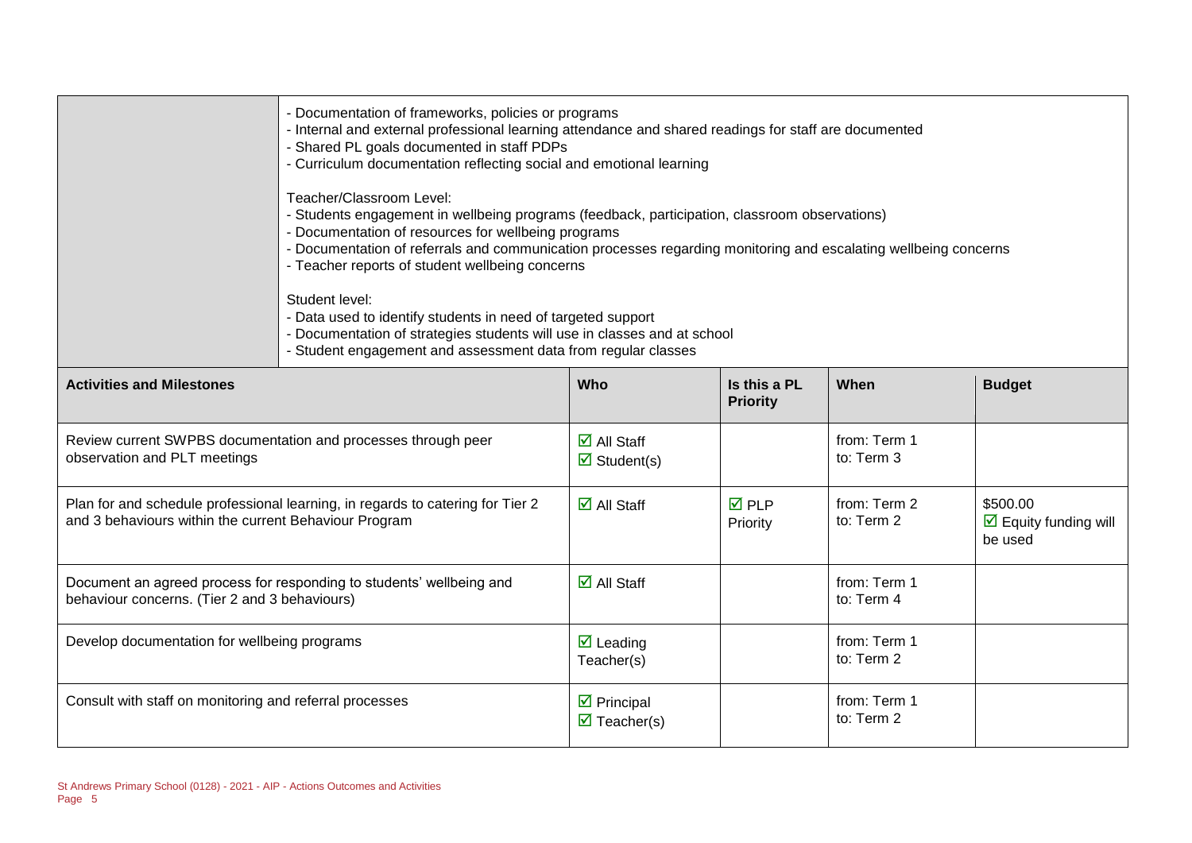|                                                                                                                                         | - Documentation of frameworks, policies or programs<br>- Internal and external professional learning attendance and shared readings for staff are documented<br>- Shared PL goals documented in staff PDPs<br>- Curriculum documentation reflecting social and emotional learning<br>Teacher/Classroom Level:<br>- Students engagement in wellbeing programs (feedback, participation, classroom observations)<br>- Documentation of resources for wellbeing programs<br>- Documentation of referrals and communication processes regarding monitoring and escalating wellbeing concerns<br>- Teacher reports of student wellbeing concerns<br>Student level:<br>- Data used to identify students in need of targeted support<br>- Documentation of strategies students will use in classes and at school<br>- Student engagement and assessment data from regular classes |                                                                           |                                 |                            |                                                             |
|-----------------------------------------------------------------------------------------------------------------------------------------|----------------------------------------------------------------------------------------------------------------------------------------------------------------------------------------------------------------------------------------------------------------------------------------------------------------------------------------------------------------------------------------------------------------------------------------------------------------------------------------------------------------------------------------------------------------------------------------------------------------------------------------------------------------------------------------------------------------------------------------------------------------------------------------------------------------------------------------------------------------------------|---------------------------------------------------------------------------|---------------------------------|----------------------------|-------------------------------------------------------------|
| <b>Activities and Milestones</b>                                                                                                        |                                                                                                                                                                                                                                                                                                                                                                                                                                                                                                                                                                                                                                                                                                                                                                                                                                                                            | Who                                                                       | Is this a PL<br><b>Priority</b> | When                       | <b>Budget</b>                                               |
| Review current SWPBS documentation and processes through peer<br>observation and PLT meetings                                           |                                                                                                                                                                                                                                                                                                                                                                                                                                                                                                                                                                                                                                                                                                                                                                                                                                                                            | $\overline{\blacksquare}$ All Staff<br>$\overline{\mathbf{M}}$ Student(s) |                                 | from: Term 1<br>to: Term 3 |                                                             |
| Plan for and schedule professional learning, in regards to catering for Tier 2<br>and 3 behaviours within the current Behaviour Program |                                                                                                                                                                                                                                                                                                                                                                                                                                                                                                                                                                                                                                                                                                                                                                                                                                                                            | $\overline{\mathbf{M}}$ All Staff                                         | $\overline{M}$ PLP<br>Priority  | from: Term 2<br>to: Term 2 | \$500.00<br>$\triangleright$ Equity funding will<br>be used |
| Document an agreed process for responding to students' wellbeing and<br>behaviour concerns. (Tier 2 and 3 behaviours)                   |                                                                                                                                                                                                                                                                                                                                                                                                                                                                                                                                                                                                                                                                                                                                                                                                                                                                            | $\overline{\mathbf{z}}$ All Staff                                         |                                 | from: Term 1<br>to: Term 4 |                                                             |
| Develop documentation for wellbeing programs                                                                                            |                                                                                                                                                                                                                                                                                                                                                                                                                                                                                                                                                                                                                                                                                                                                                                                                                                                                            | $\overline{\mathbf{z}}$ Leading<br>Teacher(s)                             |                                 | from: Term 1<br>to: Term 2 |                                                             |
| Consult with staff on monitoring and referral processes                                                                                 |                                                                                                                                                                                                                                                                                                                                                                                                                                                                                                                                                                                                                                                                                                                                                                                                                                                                            | $\triangleright$ Principal<br>$\overline{\mathbf{M}}$ Teacher(s)          |                                 | from: Term 1<br>to: Term 2 |                                                             |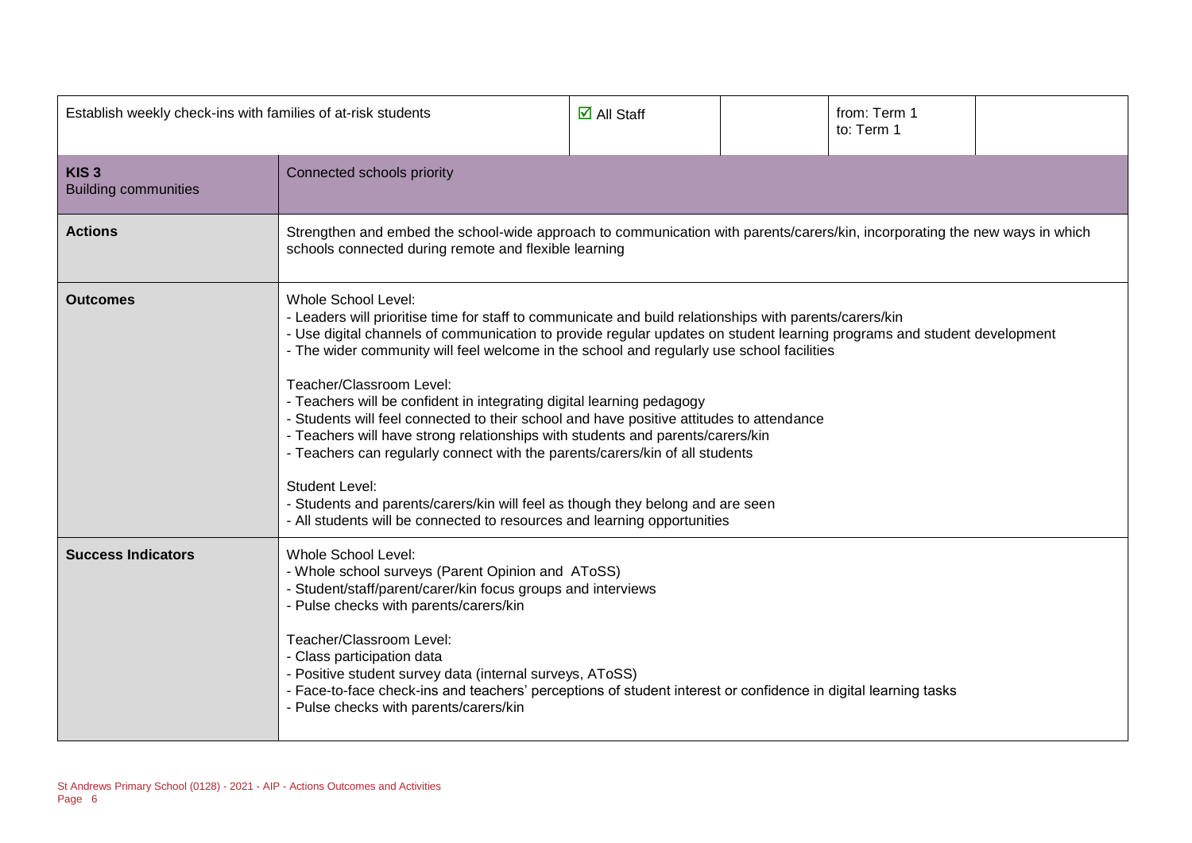| Establish weekly check-ins with families of at-risk students |                                                                                                                                                                                                                                                                                                                                                                                                                                                                                                                                                                                                                                                                                                                                                                                                                                                                                                                         | $\overline{\mathsf{M}}$ All Staff |  | from: Term 1<br>to: Term 1 |  |
|--------------------------------------------------------------|-------------------------------------------------------------------------------------------------------------------------------------------------------------------------------------------------------------------------------------------------------------------------------------------------------------------------------------------------------------------------------------------------------------------------------------------------------------------------------------------------------------------------------------------------------------------------------------------------------------------------------------------------------------------------------------------------------------------------------------------------------------------------------------------------------------------------------------------------------------------------------------------------------------------------|-----------------------------------|--|----------------------------|--|
| KIS <sub>3</sub><br><b>Building communities</b>              | Connected schools priority                                                                                                                                                                                                                                                                                                                                                                                                                                                                                                                                                                                                                                                                                                                                                                                                                                                                                              |                                   |  |                            |  |
| <b>Actions</b>                                               | Strengthen and embed the school-wide approach to communication with parents/carers/kin, incorporating the new ways in which<br>schools connected during remote and flexible learning                                                                                                                                                                                                                                                                                                                                                                                                                                                                                                                                                                                                                                                                                                                                    |                                   |  |                            |  |
| <b>Outcomes</b>                                              | <b>Whole School Level:</b><br>- Leaders will prioritise time for staff to communicate and build relationships with parents/carers/kin<br>- Use digital channels of communication to provide regular updates on student learning programs and student development<br>- The wider community will feel welcome in the school and regularly use school facilities<br>Teacher/Classroom Level:<br>- Teachers will be confident in integrating digital learning pedagogy<br>- Students will feel connected to their school and have positive attitudes to attendance<br>- Teachers will have strong relationships with students and parents/carers/kin<br>- Teachers can regularly connect with the parents/carers/kin of all students<br><b>Student Level:</b><br>- Students and parents/carers/kin will feel as though they belong and are seen<br>- All students will be connected to resources and learning opportunities |                                   |  |                            |  |
| <b>Success Indicators</b>                                    | Whole School Level:<br>- Whole school surveys (Parent Opinion and AToSS)<br>- Student/staff/parent/carer/kin focus groups and interviews<br>- Pulse checks with parents/carers/kin<br>Teacher/Classroom Level:<br>- Class participation data<br>- Positive student survey data (internal surveys, AToSS)<br>- Face-to-face check-ins and teachers' perceptions of student interest or confidence in digital learning tasks<br>- Pulse checks with parents/carers/kin                                                                                                                                                                                                                                                                                                                                                                                                                                                    |                                   |  |                            |  |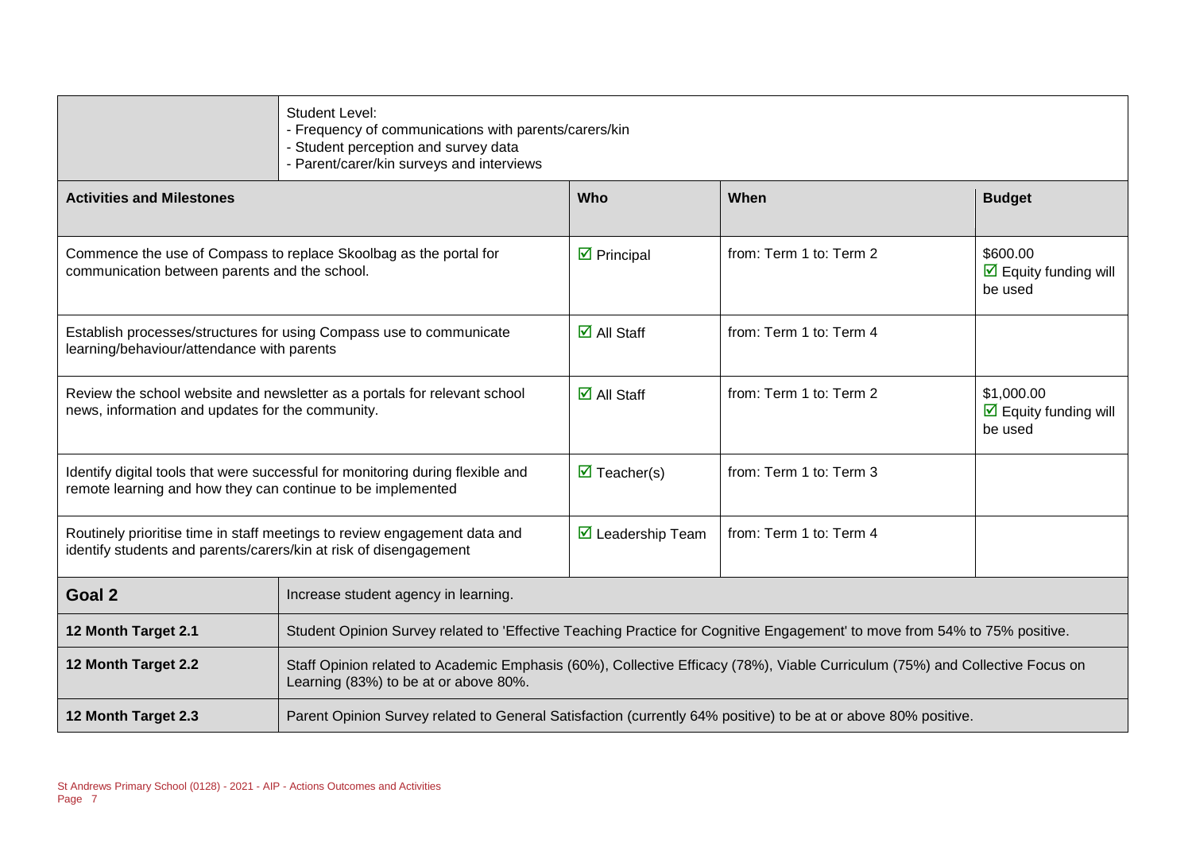|                                                                                                                                                | Student Level:<br>- Frequency of communications with parents/carers/kin<br>- Student perception and survey data<br>- Parent/carer/kin surveys and interviews          |                                    |                         |                                                               |
|------------------------------------------------------------------------------------------------------------------------------------------------|-----------------------------------------------------------------------------------------------------------------------------------------------------------------------|------------------------------------|-------------------------|---------------------------------------------------------------|
| <b>Activities and Milestones</b>                                                                                                               |                                                                                                                                                                       | Who                                | When                    | <b>Budget</b>                                                 |
| Commence the use of Compass to replace Skoolbag as the portal for<br>communication between parents and the school.                             |                                                                                                                                                                       | $\overline{\mathbf{y}}$ Principal  | from: Term 1 to: Term 2 | \$600.00<br>$\triangleright$ Equity funding will<br>be used   |
| Establish processes/structures for using Compass use to communicate<br>learning/behaviour/attendance with parents                              |                                                                                                                                                                       | $\overline{\Box}$ All Staff        | from: Term 1 to: Term 4 |                                                               |
| Review the school website and newsletter as a portals for relevant school<br>news, information and updates for the community.                  |                                                                                                                                                                       | $\overline{\mathbf{M}}$ All Staff  | from: Term 1 to: Term 2 | \$1,000.00<br>$\triangleright$ Equity funding will<br>be used |
| Identify digital tools that were successful for monitoring during flexible and<br>remote learning and how they can continue to be implemented  |                                                                                                                                                                       | $\overline{\mathbf{M}}$ Teacher(s) | from: Term 1 to: Term 3 |                                                               |
| Routinely prioritise time in staff meetings to review engagement data and<br>identify students and parents/carers/kin at risk of disengagement |                                                                                                                                                                       | $\boxdot$ Leadership Team          | from: Term 1 to: Term 4 |                                                               |
| Goal 2                                                                                                                                         | Increase student agency in learning.                                                                                                                                  |                                    |                         |                                                               |
| 12 Month Target 2.1                                                                                                                            | Student Opinion Survey related to 'Effective Teaching Practice for Cognitive Engagement' to move from 54% to 75% positive.                                            |                                    |                         |                                                               |
| 12 Month Target 2.2                                                                                                                            | Staff Opinion related to Academic Emphasis (60%), Collective Efficacy (78%), Viable Curriculum (75%) and Collective Focus on<br>Learning (83%) to be at or above 80%. |                                    |                         |                                                               |
| 12 Month Target 2.3                                                                                                                            | Parent Opinion Survey related to General Satisfaction (currently 64% positive) to be at or above 80% positive.                                                        |                                    |                         |                                                               |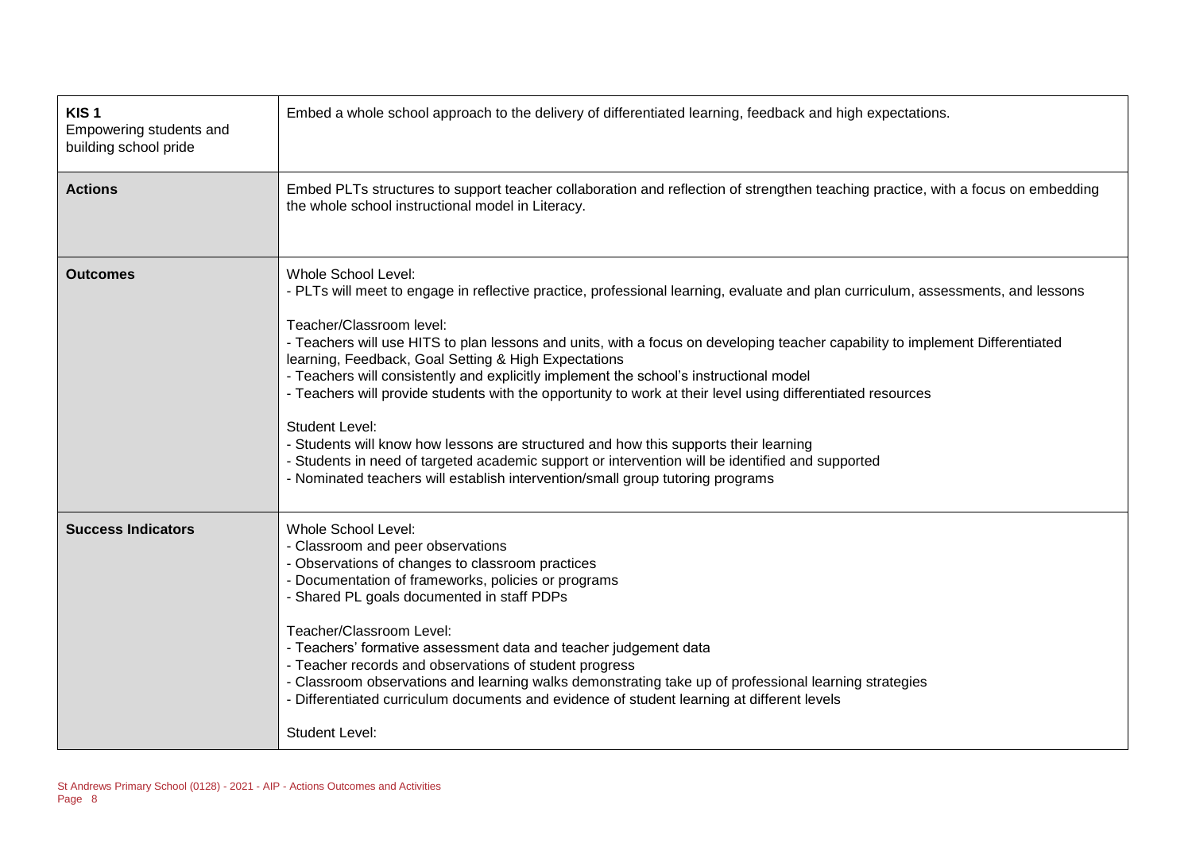| KIS <sub>1</sub><br>Empowering students and<br>building school pride | Embed a whole school approach to the delivery of differentiated learning, feedback and high expectations.                                                                                                                                                                                                                                                                                                                                                                                                                                                                                                                                                                                                                                                                                                                                                                                    |
|----------------------------------------------------------------------|----------------------------------------------------------------------------------------------------------------------------------------------------------------------------------------------------------------------------------------------------------------------------------------------------------------------------------------------------------------------------------------------------------------------------------------------------------------------------------------------------------------------------------------------------------------------------------------------------------------------------------------------------------------------------------------------------------------------------------------------------------------------------------------------------------------------------------------------------------------------------------------------|
| <b>Actions</b>                                                       | Embed PLTs structures to support teacher collaboration and reflection of strengthen teaching practice, with a focus on embedding<br>the whole school instructional model in Literacy.                                                                                                                                                                                                                                                                                                                                                                                                                                                                                                                                                                                                                                                                                                        |
| <b>Outcomes</b>                                                      | Whole School Level:<br>- PLTs will meet to engage in reflective practice, professional learning, evaluate and plan curriculum, assessments, and lessons<br>Teacher/Classroom level:<br>- Teachers will use HITS to plan lessons and units, with a focus on developing teacher capability to implement Differentiated<br>learning, Feedback, Goal Setting & High Expectations<br>- Teachers will consistently and explicitly implement the school's instructional model<br>- Teachers will provide students with the opportunity to work at their level using differentiated resources<br><b>Student Level:</b><br>- Students will know how lessons are structured and how this supports their learning<br>- Students in need of targeted academic support or intervention will be identified and supported<br>- Nominated teachers will establish intervention/small group tutoring programs |
| <b>Success Indicators</b>                                            | <b>Whole School Level:</b><br>- Classroom and peer observations<br>- Observations of changes to classroom practices<br>- Documentation of frameworks, policies or programs<br>- Shared PL goals documented in staff PDPs<br>Teacher/Classroom Level:<br>- Teachers' formative assessment data and teacher judgement data<br>- Teacher records and observations of student progress<br>- Classroom observations and learning walks demonstrating take up of professional learning strategies<br>- Differentiated curriculum documents and evidence of student learning at different levels<br><b>Student Level:</b>                                                                                                                                                                                                                                                                           |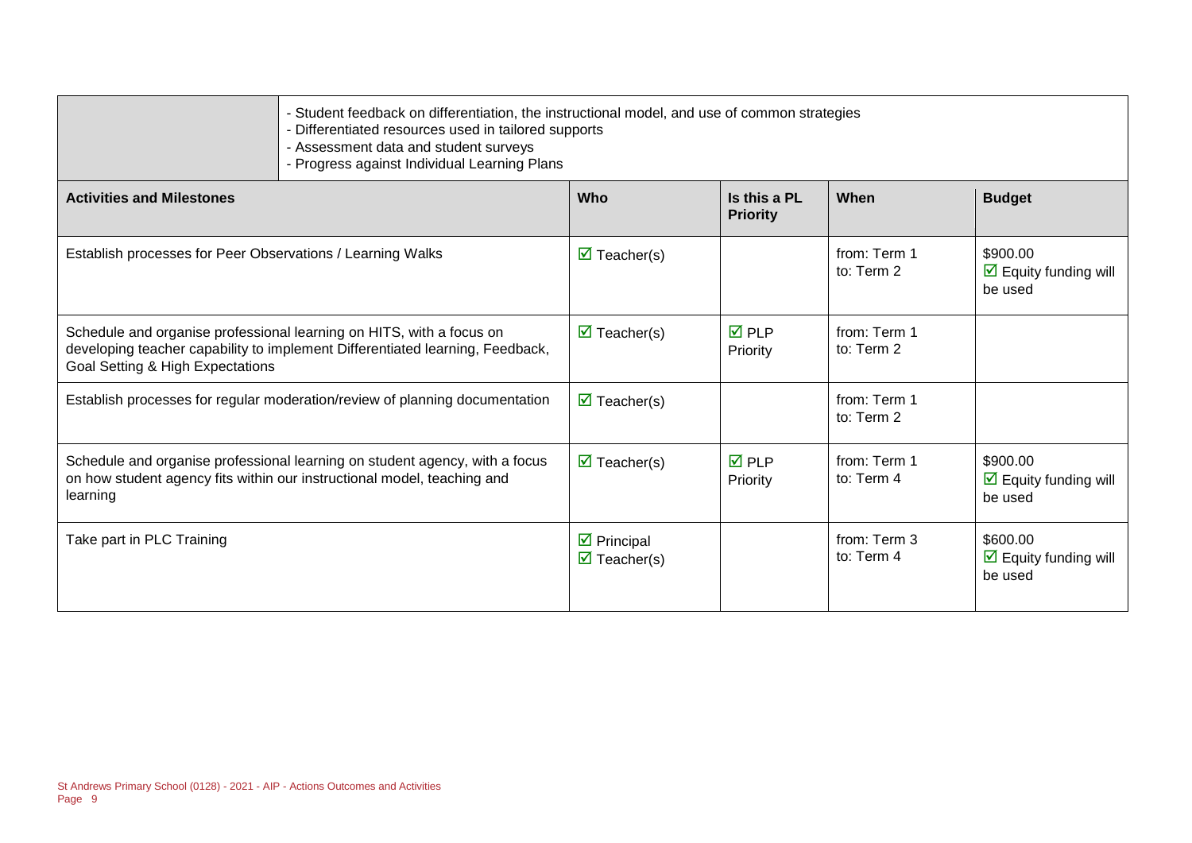|  | - Student feedback on differentiation, the instructional model, and use of common strategies<br>- Differentiated resources used in tailored supports |
|--|------------------------------------------------------------------------------------------------------------------------------------------------------|
|  | - Assessment data and student surveys                                                                                                                |
|  | - Progress against Individual Learning Plans                                                                                                         |

| <b>Activities and Milestones</b>                                                                                                                                                          | Who                                                             | Is this a PL<br><b>Priority</b> | When                       | <b>Budget</b>                                               |
|-------------------------------------------------------------------------------------------------------------------------------------------------------------------------------------------|-----------------------------------------------------------------|---------------------------------|----------------------------|-------------------------------------------------------------|
| Establish processes for Peer Observations / Learning Walks                                                                                                                                | $\triangledown$ Teacher(s)                                      |                                 | from: Term 1<br>to: Term 2 | \$900.00<br>$\triangleright$ Equity funding will<br>be used |
| Schedule and organise professional learning on HITS, with a focus on<br>developing teacher capability to implement Differentiated learning, Feedback,<br>Goal Setting & High Expectations | $\triangledown$ Teacher(s)                                      | $\overline{M}$ PLP<br>Priority  | from: Term 1<br>to: Term 2 |                                                             |
| Establish processes for regular moderation/review of planning documentation                                                                                                               | $\triangledown$ Teacher(s)                                      |                                 | from: Term 1<br>to: Term 2 |                                                             |
| Schedule and organise professional learning on student agency, with a focus<br>on how student agency fits within our instructional model, teaching and<br>learning                        | $\triangledown$ Teacher(s)                                      | $\overline{M}$ PLP<br>Priority  | from: Term 1<br>to: Term 4 | \$900.00<br>$\Box$ Equity funding will<br>be used           |
| Take part in PLC Training                                                                                                                                                                 | $\overline{\mathbf{y}}$ Principal<br>$\triangledown$ Teacher(s) |                                 | from: Term 3<br>to: Term 4 | \$600.00<br>$\boxdot$ Equity funding will<br>be used        |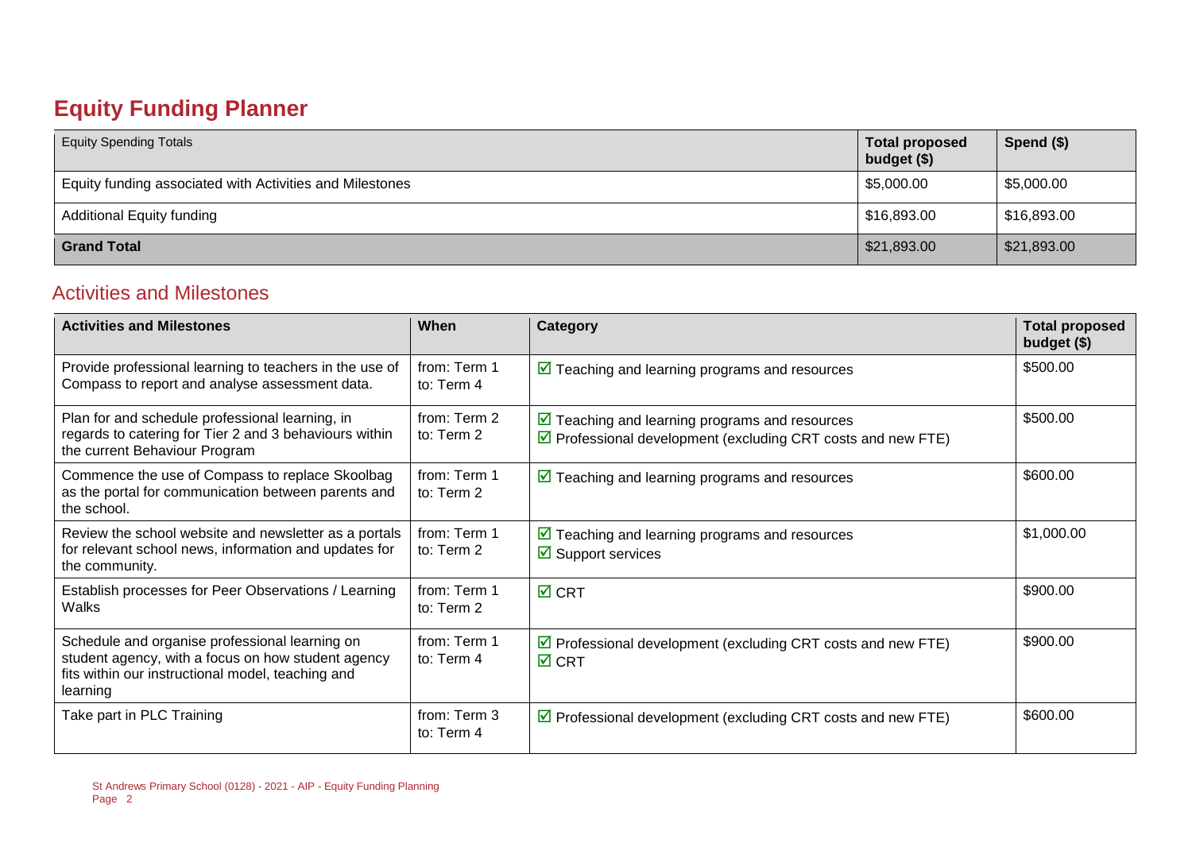## **Equity Funding Planner**

| <b>Equity Spending Totals</b>                            | <b>Total proposed</b><br>budget $($)$ | Spend $($)$ |
|----------------------------------------------------------|---------------------------------------|-------------|
| Equity funding associated with Activities and Milestones | \$5,000.00                            | \$5,000.00  |
| <b>Additional Equity funding</b>                         | \$16,893.00                           | \$16,893.00 |
| <b>Grand Total</b>                                       | $\frac{1}{2}$ \$21,893.00             | \$21,893.00 |

#### Activities and Milestones

| <b>Activities and Milestones</b>                                                                                                                                      | When                       | Category                                                                                                                                    | <b>Total proposed</b><br>budget (\$) |
|-----------------------------------------------------------------------------------------------------------------------------------------------------------------------|----------------------------|---------------------------------------------------------------------------------------------------------------------------------------------|--------------------------------------|
| Provide professional learning to teachers in the use of<br>Compass to report and analyse assessment data.                                                             | from: Term 1<br>to: Term 4 | $\triangleright$ Teaching and learning programs and resources                                                                               | \$500.00                             |
| Plan for and schedule professional learning, in<br>regards to catering for Tier 2 and 3 behaviours within<br>the current Behaviour Program                            | from: Term 2<br>to: Term 2 | $\triangleright$ Teaching and learning programs and resources<br>$\triangledown$ Professional development (excluding CRT costs and new FTE) | \$500.00                             |
| Commence the use of Compass to replace Skoolbag<br>as the portal for communication between parents and<br>the school.                                                 | from: Term 1<br>to: Term 2 | $\sqrt{2}$ Teaching and learning programs and resources                                                                                     | \$600.00                             |
| Review the school website and newsletter as a portals<br>for relevant school news, information and updates for<br>the community.                                      | from: Term 1<br>to: Term 2 | $\boxed{\triangleright}$ Teaching and learning programs and resources<br>$\boxtimes$ Support services                                       | \$1,000.00                           |
| Establish processes for Peer Observations / Learning<br>Walks                                                                                                         | from: Term 1<br>to: Term 2 | $\overline{M}$ CRT                                                                                                                          | \$900.00                             |
| Schedule and organise professional learning on<br>student agency, with a focus on how student agency<br>fits within our instructional model, teaching and<br>learning | from: Term 1<br>to: Term 4 | $\triangledown$ Professional development (excluding CRT costs and new FTE)<br>$\boxtimes$ CRT                                               | \$900.00                             |
| Take part in PLC Training                                                                                                                                             | from: Term 3<br>to: Term 4 | $\triangleright$ Professional development (excluding CRT costs and new FTE)                                                                 | \$600.00                             |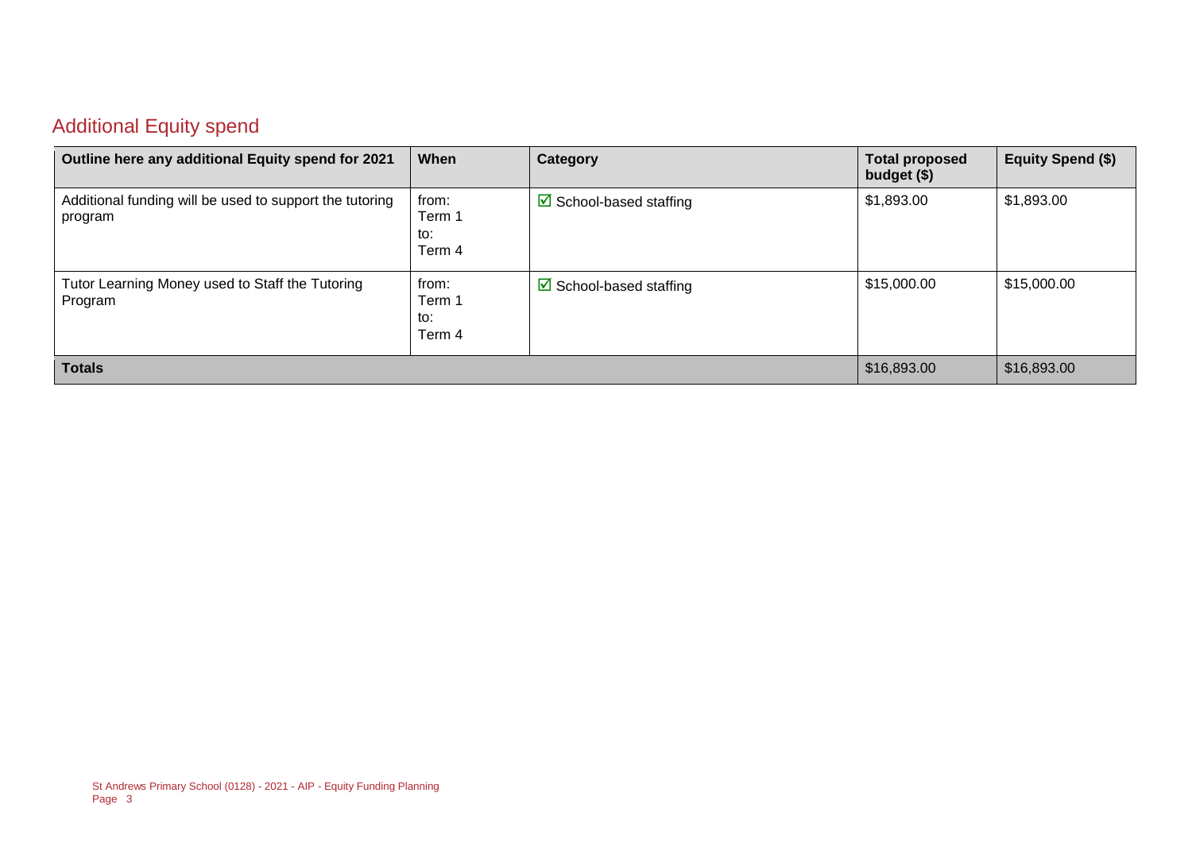#### Additional Equity spend

| Outline here any additional Equity spend for 2021                  | When                             | Category                               | <b>Total proposed</b><br>budget (\$) | Equity Spend (\$) |
|--------------------------------------------------------------------|----------------------------------|----------------------------------------|--------------------------------------|-------------------|
| Additional funding will be used to support the tutoring<br>program | from:<br>Term 1<br>to:<br>Term 4 | $\triangleright$ School-based staffing | \$1,893.00                           | \$1,893.00        |
| Tutor Learning Money used to Staff the Tutoring<br>Program         | from:<br>Term 1<br>to:<br>Term 4 | $\triangleright$ School-based staffing | \$15,000.00                          | \$15,000.00       |
| <b>Totals</b>                                                      |                                  |                                        | \$16,893.00                          | \$16,893.00       |